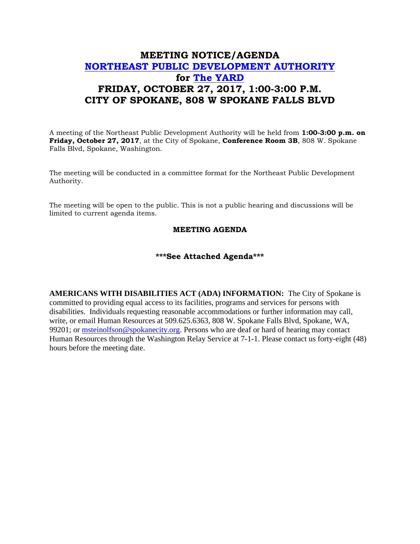## **MEETING NOTICE/AGENDA [NORTHEAST PUBLIC DEVELOPMENT AUTHORITY](https://beta.spokanecity.org/bcc/boards/northeast-public-development-authority/) for [The YARD](https://beta.spokanecity.org/projects/theyard/) FRIDAY, OCTOBER 27, 2017, 1:00-3:00 P.M. CITY OF SPOKANE, 808 W SPOKANE FALLS BLVD**

A meeting of the Northeast Public Development Authority will be held from **1:00-3:00 p.m. on Friday, October 27, 2017**, at the City of Spokane, **Conference Room 3B**, 808 W. Spokane Falls Blvd, Spokane, Washington.

The meeting will be conducted in a committee format for the Northeast Public Development Authority.

The meeting will be open to the public. This is not a public hearing and discussions will be limited to current agenda items.

## **MEETING AGENDA**

## **\*\*\*See Attached Agenda\*\*\***

**AMERICANS WITH DISABILITIES ACT (ADA) INFORMATION:** The City of Spokane is committed to providing equal access to its facilities, programs and services for persons with disabilities. Individuals requesting reasonable accommodations or further information may call, write, or email Human Resources at 509.625.6363, 808 W. Spokane Falls Blvd, Spokane, WA, 99201; or [msteinolfson@spokanecity.org.](mailto:msteinolfson@spokanecity.org) Persons who are deaf or hard of hearing may contact Human Resources through the Washington Relay Service at 7-1-1. Please contact us forty-eight (48) hours before the meeting date.